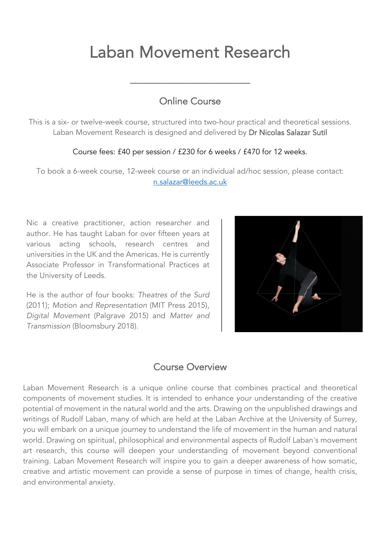# Laban Movement Research

# Online Course

\_\_\_\_\_\_\_\_\_\_\_\_\_\_\_\_\_\_\_\_\_\_\_\_\_

This is a six- or twelve-week course, structured into two-hour practical and theoretical sessions. Laban Movement Research is designed and delivered by Dr Nicolas Salazar Sutil

#### Course fees: £40 per session / £230 for 6 weeks / £470 for 12 weeks.

To book a 6-week course, 12-week course or an individual ad/hoc session, please contact: n.salazar@leeds.ac.uk

Nic a creative practitioner, action researcher and author. He has taught Laban for over fifteen years at various acting schools, research centres and universities in the UK and the Americas. He is currently Associate Professor in Transformational Practices at the University of Leeds.

He is the author of four books: *Theatres of the Surd* (2011); *Motion and Representation* (MIT Press 2015), *Digital Movement* (Palgrave 2015) and *Matter and Transmission* (Bloomsbury 2018).



# Course Overview

Laban Movement Research is a unique online course that combines practical and theoretical components of movement studies. It is intended to enhance your understanding of the creative potential of movement in the natural world and the arts. Drawing on the unpublished drawings and writings of Rudolf Laban, many of which are held at the Laban Archive at the University of Surrey, you will embark on a unique journey to understand the life of movement in the human and natural world. Drawing on spiritual, philosophical and environmental aspects of Rudolf Laban's movement art research, this course will deepen your understanding of movement beyond conventional training. Laban Movement Research will inspire you to gain a deeper awareness of how somatic, creative and artistic movement can provide a sense of purpose in times of change, health crisis, and environmental anxiety.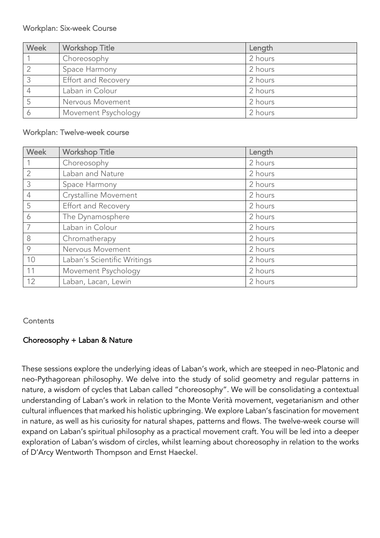#### Workplan: Six-week Course

| Week | <b>Workshop Title</b>      | Length  |
|------|----------------------------|---------|
|      | Choreosophy                | 2 hours |
|      | Space Harmony              | 2 hours |
|      | <b>Effort and Recovery</b> | 2 hours |
|      | Laban in Colour            | 2 hours |
|      | Nervous Movement           | 2 hours |
|      | Movement Psychology        | 2 hours |

#### Workplan: Twelve-week course

| <b>Week</b>    | <b>Workshop Title</b>       | Length  |
|----------------|-----------------------------|---------|
|                | Choreosophy                 | 2 hours |
| $\overline{2}$ | Laban and Nature            | 2 hours |
| 3              | Space Harmony               | 2 hours |
| $\overline{4}$ | Crystalline Movement        | 2 hours |
| 5              | Effort and Recovery         | 2 hours |
| 6              | The Dynamosphere            | 2 hours |
| $\overline{7}$ | Laban in Colour             | 2 hours |
| 8              | Chromatherapy               | 2 hours |
| 9              | Nervous Movement            | 2 hours |
| 10             | Laban's Scientific Writings | 2 hours |
| 11             | Movement Psychology         | 2 hours |
| 12             | Laban, Lacan, Lewin         | 2 hours |

#### **Contents**

# Choreosophy + Laban & Nature

These sessions explore the underlying ideas of Laban's work, which are steeped in neo-Platonic and neo-Pythagorean philosophy. We delve into the study of solid geometry and regular patterns in nature, a wisdom of cycles that Laban called "choreosophy". We will be consolidating a contextual understanding of Laban's work in relation to the Monte Verità movement, vegetarianism and other cultural influences that marked his holistic upbringing. We explore Laban's fascination for movement in nature, as well as his curiosity for natural shapes, patterns and flows. The twelve-week course will expand on Laban's spiritual philosophy as a practical movement craft. You will be led into a deeper exploration of Laban's wisdom of circles, whilst learning about choreosophy in relation to the works of D'Arcy Wentworth Thompson and Ernst Haeckel.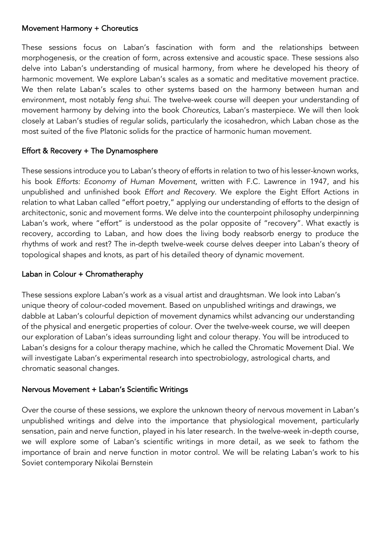#### Movement Harmony + Choreutics

These sessions focus on Laban's fascination with form and the relationships between morphogenesis, or the creation of form, across extensive and acoustic space. These sessions also delve into Laban's understanding of musical harmony, from where he developed his theory of harmonic movement. We explore Laban's scales as a somatic and meditative movement practice. We then relate Laban's scales to other systems based on the harmony between human and environment, most notably *feng shui*. The twelve-week course will deepen your understanding of movement harmony by delving into the book *Choreutics,* Laban's masterpiece. We will then look closely at Laban's studies of regular solids, particularly the icosahedron, which Laban chose as the most suited of the five Platonic solids for the practice of harmonic human movement.

# Effort & Recovery + The Dynamosphere

These sessions introduce you to Laban's theory of efforts in relation to two of his lesser-known works, his book *Efforts: Economy of Human Movement*, written with F.C. Lawrence in 1947, and his unpublished and unfinished book *Effort and Recovery*. We explore the Eight Effort Actions in relation to what Laban called "effort poetry," applying our understanding of efforts to the design of architectonic, sonic and movement forms. We delve into the counterpoint philosophy underpinning Laban's work, where "effort" is understood as the polar opposite of "recovery". What exactly is recovery, according to Laban, and how does the living body reabsorb energy to produce the rhythms of work and rest? The in-depth twelve-week course delves deeper into Laban's theory of topological shapes and knots, as part of his detailed theory of dynamic movement.

# Laban in Colour + Chromatheraphy

These sessions explore Laban's work as a visual artist and draughtsman. We look into Laban's unique theory of colour-coded movement. Based on unpublished writings and drawings, we dabble at Laban's colourful depiction of movement dynamics whilst advancing our understanding of the physical and energetic properties of colour. Over the twelve-week course, we will deepen our exploration of Laban's ideas surrounding light and colour therapy. You will be introduced to Laban's designs for a colour therapy machine, which he called the Chromatic Movement Dial. We will investigate Laban's experimental research into spectrobiology, astrological charts, and chromatic seasonal changes.

#### Nervous Movement + Laban's Scientific Writings

Over the course of these sessions, we explore the unknown theory of nervous movement in Laban's unpublished writings and delve into the importance that physiological movement, particularly sensation, pain and nerve function, played in his later research. In the twelve-week in-depth course, we will explore some of Laban's scientific writings in more detail, as we seek to fathom the importance of brain and nerve function in motor control. We will be relating Laban's work to his Soviet contemporary Nikolai Bernstein